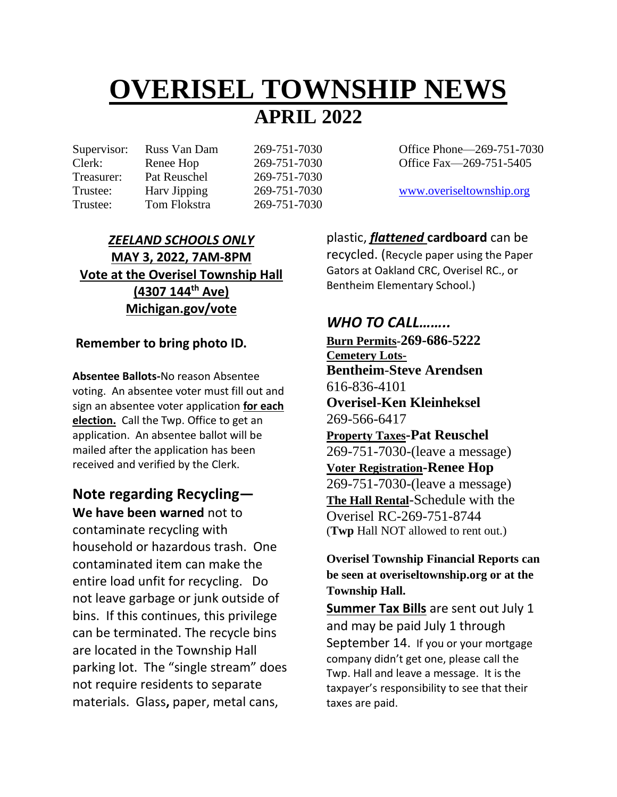# **OVERISEL TOWNSHIP NEWS APRIL 2022**

Treasurer: Pat Reuschel 269-751-7030 Trustee: Tom Flokstra 269-751-7030

Supervisor: Russ Van Dam 269-751-7030 Office Phone—269-751-7030 Clerk: Renee Hop 269-751-7030 Office Fax—269-751-5405

Trustee: Harv Jipping 269-751-7030 [www.overiseltownship.org](http://www.overiseltownship.org/)

#### *ZEELAND SCHOOLS ONLY* **MAY 3, 2022, 7AM-8PM Vote at the Overisel Township Hall (4307 144th Ave) Michigan.gov/vote**

#### **Remember to bring photo ID.**

**Absentee Ballots-**No reason Absentee voting. An absentee voter must fill out and sign an absentee voter application **for each election.** Call the Twp. Office to get an application. An absentee ballot will be mailed after the application has been received and verified by the Clerk.

## **Note regarding Recycling—**

**We have been warned** not to contaminate recycling with household or hazardous trash. One contaminated item can make the entire load unfit for recycling. Do not leave garbage or junk outside of bins. If this continues, this privilege can be terminated. The recycle bins are located in the Township Hall parking lot. The "single stream" does not require residents to separate materials.Glass**,** paper, metal cans,

plastic, *flattened* **cardboard** can be recycled. (Recycle paper using the Paper Gators at Oakland CRC, Overisel RC., or Bentheim Elementary School.)

#### *WHO TO CALL……..*

**Burn Permits-269-686-5222 Cemetery Lots-Bentheim**-**Steve Arendsen** 616-836-4101 **Overisel-Ken Kleinheksel** 269-566-6417 **Property Taxes-Pat Reuschel** 269-751-7030-(leave a message) **Voter Registration-Renee Hop** 269-751-7030-(leave a message) **The Hall Rental**-Schedule with the Overisel RC-269-751-8744 (**Twp** Hall NOT allowed to rent out.)

**Overisel Township Financial Reports can be seen at overiseltownship.org or at the Township Hall.**

**Summer Tax Bills** are sent out July 1 and may be paid July 1 through September 14. If you or your mortgage company didn't get one, please call the Twp. Hall and leave a message. It is the taxpayer's responsibility to see that their taxes are paid.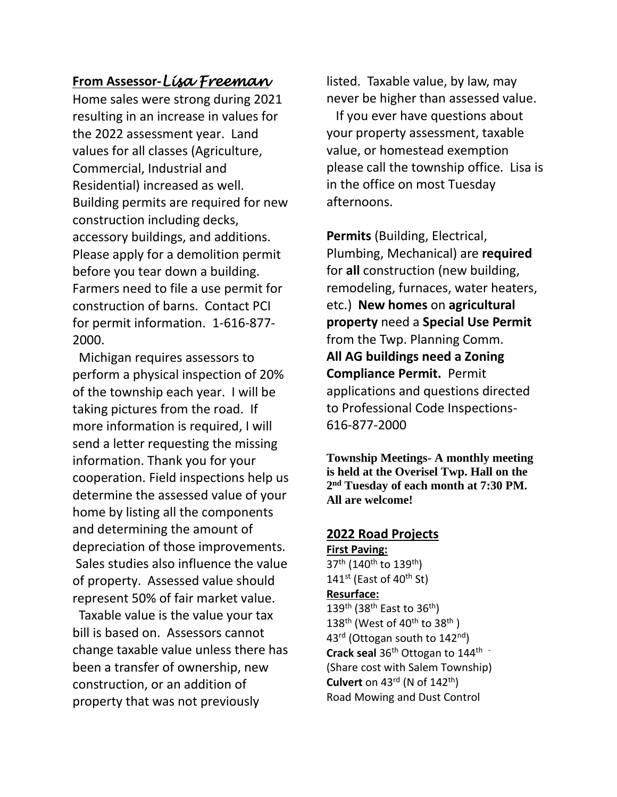#### **From Assessor-***Lisa Freeman*

Home sales were strong during 2021 resulting in an increase in values for the 2022 assessment year. Land values for all classes (Agriculture, Commercial, Industrial and Residential) increased as well. Building permits are required for new construction including decks, accessory buildings, and additions. Please apply for a demolition permit before you tear down a building. Farmers need to file a use permit for construction of barns. Contact PCI for permit information. 1-616-877- 2000.

Michigan requires assessors to perform a physical inspection of 20% of the township each year. I will be taking pictures from the road. If more information is required, I will send a letter requesting the missing information. Thank you for your cooperation. Field inspections help us determine the assessed value of your home by listing all the components and determining the amount of depreciation of those improvements. Sales studies also influence the value of property. Assessed value should represent 50% of fair market value.

 Taxable value is the value your tax bill is based on. Assessors cannot change taxable value unless there has been a transfer of ownership, new construction, or an addition of property that was not previously

listed. Taxable value, by law, may never be higher than assessed value.

 If you ever have questions about your property assessment, taxable value, or homestead exemption please call the township office. Lisa is in the office on most Tuesday afternoons.

**Permits** (Building, Electrical, Plumbing, Mechanical) are **required**  for **all** construction (new building, remodeling, furnaces, water heaters, etc.) **New homes** on **agricultural property** need a **Special Use Permit** from the Twp. Planning Comm. **All AG buildings need a Zoning Compliance Permit.** Permit applications and questions directed to Professional Code Inspections-616-877-2000

**Township Meetings- A monthly meeting is held at the Overisel Twp. Hall on the 2 nd Tuesday of each month at 7:30 PM. All are welcome!**

#### **2022 Road Projects**

**First Paving:** 37<sup>th</sup> (140<sup>th</sup> to 139<sup>th</sup>)  $141$ <sup>st</sup> (East of  $40$ <sup>th</sup> St) **Resurface:**  139th (38th East to 36th) 138<sup>th</sup> (West of  $40^{th}$  to  $38^{th}$ ) 43<sup>rd</sup> (Ottogan south to 142<sup>nd</sup>) **Crack seal** 36th Ottogan to 144th - (Share cost with Salem Township) **Culvert** on  $43^{rd}$  (N of  $142^{th}$ ) Road Mowing and Dust Control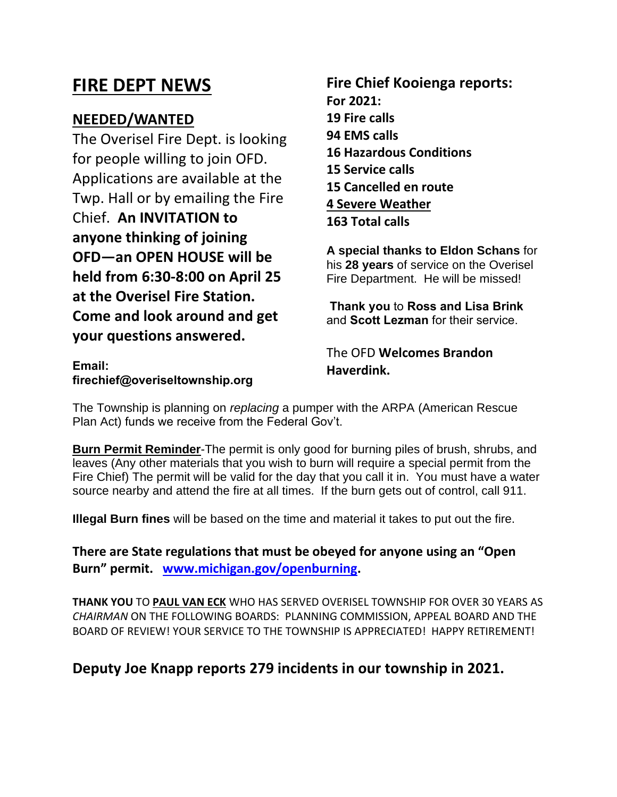## **FIRE DEPT NEWS**

#### **NEEDED/WANTED**

**Email:** 

The Overisel Fire Dept. is looking for people willing to join OFD. Applications are available at the Twp. Hall or by emailing the Fire Chief. **An INVITATION to anyone thinking of joining OFD—an OPEN HOUSE will be held from 6:30-8:00 on April 25 at the Overisel Fire Station. Come and look around and get your questions answered.** 

#### **Fire Chief Kooienga reports: For 2021: 19 Fire calls 94 EMS calls 16 Hazardous Conditions 15 Service calls 15 Cancelled en route 4 Severe Weather 163 Total calls**

**A special thanks to Eldon Schans** for his **28 years** of service on the Overisel Fire Department. He will be missed!

**Thank you** to **Ross and Lisa Brink** and **Scott Lezman** for their service.

The OFD **Welcomes Brandon Haverdink.**

**firechief@overiseltownship.org**

The Township is planning on *replacing* a pumper with the ARPA (American Rescue Plan Act) funds we receive from the Federal Gov't.

**Burn Permit Reminder**-The permit is only good for burning piles of brush, shrubs, and leaves (Any other materials that you wish to burn will require a special permit from the Fire Chief) The permit will be valid for the day that you call it in. You must have a water source nearby and attend the fire at all times. If the burn gets out of control, call 911.

**Illegal Burn fines** will be based on the time and material it takes to put out the fire.

**There are State regulations that must be obeyed for anyone using an "Open Burn" permit. [www.michigan.gov/openburning.](http://www.michigan.gov/openburning)**

**THANK YOU** TO **PAUL VAN ECK** WHO HAS SERVED OVERISEL TOWNSHIP FOR OVER 30 YEARS AS *CHAIRMAN* ON THE FOLLOWING BOARDS: PLANNING COMMISSION, APPEAL BOARD AND THE BOARD OF REVIEW! YOUR SERVICE TO THE TOWNSHIP IS APPRECIATED! HAPPY RETIREMENT!

#### **Deputy Joe Knapp reports 279 incidents in our township in 2021.**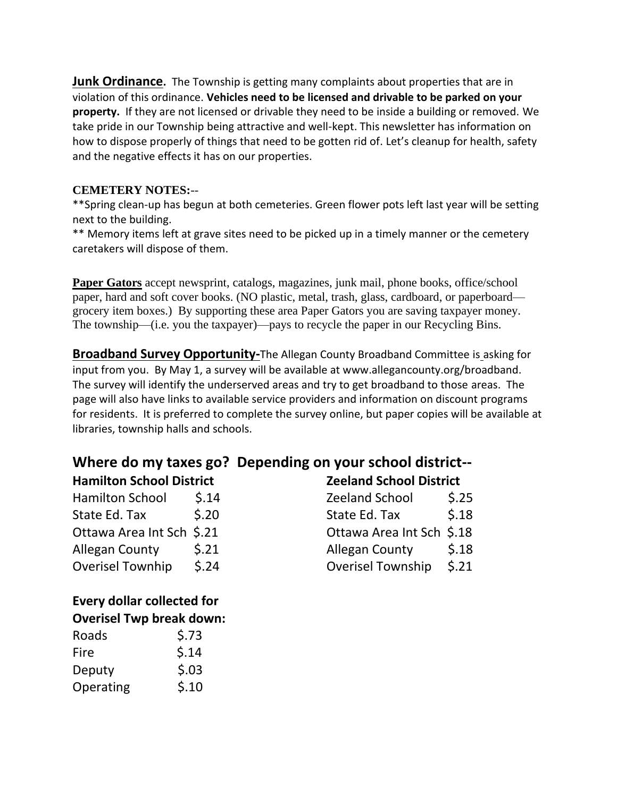**Junk Ordinance.** The Township is getting many complaints about properties that are in violation of this ordinance. **Vehicles need to be licensed and drivable to be parked on your property.** If they are not licensed or drivable they need to be inside a building or removed. We take pride in our Township being attractive and well-kept. This newsletter has information on how to dispose properly of things that need to be gotten rid of. Let's cleanup for health, safety and the negative effects it has on our properties.

#### **CEMETERY NOTES:**--

\*\*Spring clean-up has begun at both cemeteries. Green flower pots left last year will be setting next to the building.

\*\* Memory items left at grave sites need to be picked up in a timely manner or the cemetery caretakers will dispose of them.

Paper Gators accept newsprint, catalogs, magazines, junk mail, phone books, office/school paper, hard and soft cover books. (NO plastic, metal, trash, glass, cardboard, or paperboard grocery item boxes.) By supporting these area Paper Gators you are saving taxpayer money. The township—(i.e. you the taxpayer)—pays to recycle the paper in our Recycling Bins.

**Broadband Survey Opportunity-**The Allegan County Broadband Committee is asking for input from you. By May 1, a survey will be available at www.allegancounty.org/broadband. The survey will identify the underserved areas and try to get broadband to those areas. The page will also have links to available service providers and information on discount programs for residents. It is preferred to complete the survey online, but paper copies will be available at libraries, township halls and schools.

## **Where do my taxes go? Depending on your school district--**

| <b>Hamilton School District</b> |                           |                                |
|---------------------------------|---------------------------|--------------------------------|
| 5.14                            | <b>Zeeland School</b>     | 5.25                           |
| 5.20                            | State Ed. Tax             | 5.18                           |
| Ottawa Area Int Sch \$.21       | Ottawa Area Int Sch \$.18 |                                |
| 5.21                            | <b>Allegan County</b>     | 5.18                           |
| 5.24                            | <b>Overisel Township</b>  | 5.21                           |
|                                 |                           | <b>Zeeland School District</b> |

#### **Every dollar collected for Overisel Twp break down:**

| Roads     | \$.73 |
|-----------|-------|
| Fire      | 5.14  |
| Deputy    | 5.03  |
| Operating | 5.10  |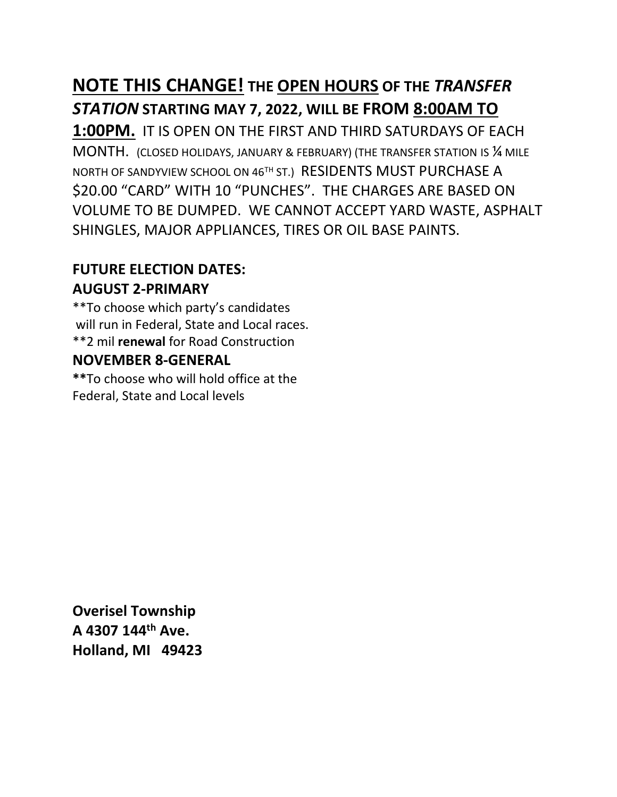# **NOTE THIS CHANGE! THE OPEN HOURS OF THE** *TRANSFER STATION* **STARTING MAY 7, 2022, WILL BE FROM 8:00AM TO**

**1:00PM.** IT IS OPEN ON THE FIRST AND THIRD SATURDAYS OF EACH MONTH. (CLOSED HOLIDAYS, JANUARY & FEBRUARY) (THE TRANSFER STATION IS ¼ MILE NORTH OF SANDYVIEW SCHOOL ON 46<sup>TH</sup> ST.) RESIDENTS MUST PURCHASE A \$20.00 "CARD" WITH 10 "PUNCHES". THE CHARGES ARE BASED ON VOLUME TO BE DUMPED. WE CANNOT ACCEPT YARD WASTE, ASPHALT SHINGLES, MAJOR APPLIANCES, TIRES OR OIL BASE PAINTS.

### **FUTURE ELECTION DATES: AUGUST 2-PRIMARY**

\*\*To choose which party's candidates will run in Federal, State and Local races. \*\*2 mil **renewal** for Road Construction

#### **NOVEMBER 8-GENERAL**

**\*\***To choose who will hold office at the Federal, State and Local levels

**Overisel Township A 4307 144th Ave. Holland, MI 49423**